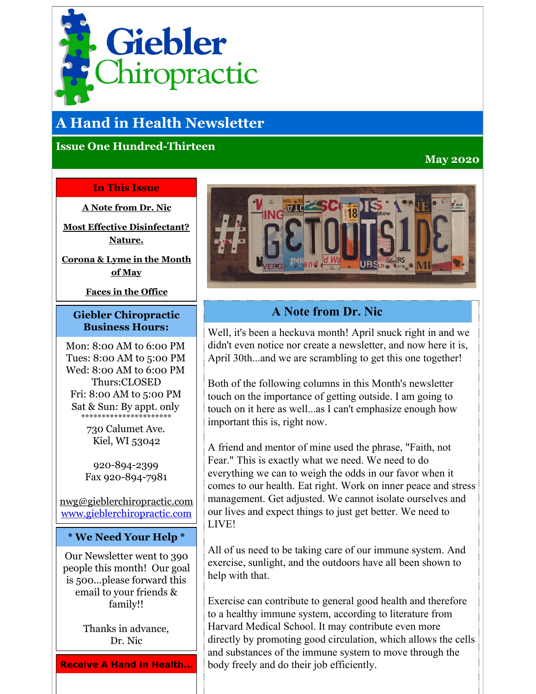<span id="page-0-0"></span>

# **A Hand in Health Newsletter**

### **Issue One Hundred-Thirteen**

### **May 2020**

#### **In This Issue**

**A Note [from](#page-0-0) Dr. Nic**

**Most Effective [Disinfectant?](#page-0-0) Nature.**

**[Corona](#page-0-0) & Lyme in the Month of May**

**Faces in the [Office](#page-0-0)**

#### **Giebler Chiropractic Business Hours:**

Mon: 8:00 AM to 6:00 PM Tues: 8:00 AM to 5:00 PM Wed: 8:00 AM to 6:00 PM Thurs:CLOSED Fri: 8:00 AM to 5:00 PM Sat & Sun: By appt. only \*\*\*\*\*\*\*\*\*\*\*\*\*\*\*\*\*\*\*\*\*\*

> 730 Calumet Ave. Kiel, WI 53042

920-894-2399 Fax 920-894-7981

nwg@gieblerchiropractic.com [www.gieblerchiropractic.com](http://r20.rs6.net/tn.jsp?f=001AJWxanvSMp3wDh-n9S2h1EhmcVArYm6gX1U6InYSYVfQaZHfsIQS0u2eqqEt6jcCoJOLJywWPzU6fkrIohVpBckL1K6UxRYQfpus4yhKZVhmXt-lBnIDI7DR_SF_T7OLCFFEYZO-48wTl0T1BM6L-Vb_heEDjTD-zxrdu3I9OoDdAP0Mn-XmJw==&c=&ch=)

#### **\* We Need Your Help \***

Our Newsletter went to 390 people this month! Our goal is 500...please forward this email to your friends & family!!

> Thanks in advance, Dr. Nic

**Receive A Hand in Health...**



# **A Note from Dr. Nic**

Well, it's been a heckuva month! April snuck right in and we didn't even notice nor create a newsletter, and now here it is, April 30th...and we are scrambling to get this one together!

Both of the following columns in this Month's newsletter touch on the importance of getting outside. I am going to touch on it here as well...as I can't emphasize enough how important this is, right now.

A friend and mentor of mine used the phrase, "Faith, not Fear." This is exactly what we need. We need to do everything we can to weigh the odds in our favor when it comes to our health. Eat right. Work on inner peace and stress management. Get adjusted. We cannot isolate ourselves and our lives and expect things to just get better. We need to LIVE!

All of us need to be taking care of our immune system. And exercise, sunlight, and the outdoors have all been shown to help with that.

Exercise can contribute to general good health and therefore to a healthy immune system, according to literature from Harvard Medical School. It may contribute even more directly by promoting good circulation, which allows the cells and substances of the immune system to move through the body freely and do their job efficiently.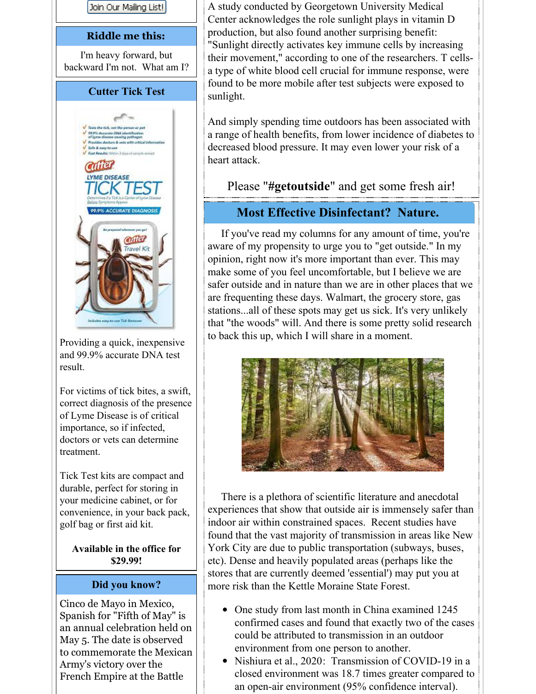

Providing a quick, inexpensive and 99.9% accurate DNA test result.

For victims of tick bites, a swift, correct diagnosis of the presence of Lyme Disease is of critical importance, so if infected, doctors or vets can determine treatment.

Tick Test kits are compact and durable, perfect for storing in your medicine cabinet, or for convenience, in your back pack, golf bag or first aid kit.

**Available in the office for \$29.99!**

#### **Did you know?**

Cinco de Mayo in Mexico, Spanish for "Fifth of May" is an annual celebration held on May 5. The date is observed to commemorate the Mexican Army's victory over the French Empire at the Battle

A study conducted by Georgetown University Medical Center acknowledges the role sunlight plays in vitamin D production, but also found another surprising benefit: "Sunlight directly activates key immune cells by increasing their movement," according to one of the researchers. T cellsa type of white blood cell crucial for immune response, were found to be more mobile after test subjects were exposed to sunlight.

And simply spending time outdoors has been associated with a range of health benefits, from lower incidence of diabetes to decreased blood pressure. It may even lower your risk of a heart attack.

Please "**#getoutside**" and get some fresh air!

## **Most Effective Disinfectant? Nature.**

If you've read my columns for any amount of time, you're aware of my propensity to urge you to "get outside." In my opinion, right now it's more important than ever. This may make some of you feel uncomfortable, but I believe we are safer outside and in nature than we are in other places that we are frequenting these days. Walmart, the grocery store, gas stations...all of these spots may get us sick. It's very unlikely that "the woods" will. And there is some pretty solid research to back this up, which I will share in a moment.



There is a plethora of scientific literature and anecdotal experiences that show that outside air is immensely safer than indoor air within constrained spaces. Recent studies have found that the vast majority of transmission in areas like New York City are due to public transportation (subways, buses, etc). Dense and heavily populated areas (perhaps like the stores that are currently deemed 'essential') may put you at more risk than the Kettle Moraine State Forest.

- One study from last month in China examined 1245 confirmed cases and found that exactly two of the cases could be attributed to transmission in an outdoor environment from one person to another.
- Nishiura et al., 2020: Transmission of COVID-19 in a closed environment was 18.7 times greater compared to an open-air environment (95% confidence interval).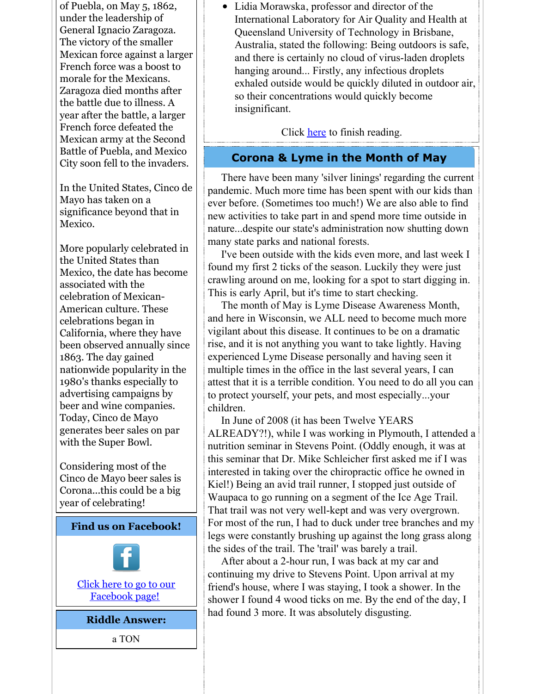of Puebla, on May 5, 1862, under the leadership of General Ignacio Zaragoza. The victory of the smaller Mexican force against a larger French force was a boost to morale for the Mexicans. Zaragoza died months after the battle due to illness. A year after the battle, a larger French force defeated the Mexican army at the Second Battle of Puebla, and Mexico City soon fell to the invaders.

In the United States, Cinco de Mayo has taken on a significance beyond that in Mexico.

More popularly celebrated in the United States than Mexico, the date has become associated with the celebration of Mexican-American culture. These celebrations began in California, where they have been observed annually since 1863. The day gained nationwide popularity in the 1980's thanks especially to advertising campaigns by beer and wine companies. Today, Cinco de Mayo generates beer sales on par with the Super Bowl.

Considering most of the Cinco de Mayo beer sales is Corona...this could be a big year of celebrating!



Lidia Morawska, professor and director of the International Laboratory for Air Quality and Health at Queensland University of Technology in Brisbane, Australia, stated the following: Being outdoors is safe, and there is certainly no cloud of virus-laden droplets hanging around... Firstly, any infectious droplets exhaled outside would be quickly diluted in outdoor air, so their concentrations would quickly become insignificant.

Click [here](http://r20.rs6.net/tn.jsp?f=001AJWxanvSMp3wDh-n9S2h1EhmcVArYm6gX1U6InYSYVfQaZHfsIQS0imm_2iCZtDl18Hg5KeWfuIKjtoabwnB6-PdqZONw2dUTuHQcbENnKtd9FYID06zlO3t9H_S3KyHP6caJqMQ_A7QDFFXTJNaQizbWzT5mQWnJ0eSz2qT-vaUdX35UDI1EmdMHSQK6WhmFG1wosgmnAFKc4qiKZPurTJm-y3L5QgtpfvV056LrOj4m6vEaQBUb-Uydkb4CEK2mn95To7r8Ho=&c=&ch=) to finish reading.

# **Corona & Lyme in the Month of May**

There have been many 'silver linings' regarding the current pandemic. Much more time has been spent with our kids than ever before. (Sometimes too much!) We are also able to find new activities to take part in and spend more time outside in nature...despite our state's administration now shutting down many state parks and national forests.

I've been outside with the kids even more, and last week I found my first 2 ticks of the season. Luckily they were just crawling around on me, looking for a spot to start digging in. This is early April, but it's time to start checking.

The month of May is Lyme Disease Awareness Month, and here in Wisconsin, we ALL need to become much more vigilant about this disease. It continues to be on a dramatic rise, and it is not anything you want to take lightly. Having experienced Lyme Disease personally and having seen it multiple times in the office in the last several years, I can attest that it is a terrible condition. You need to do all you can to protect yourself, your pets, and most especially...your children.

In June of 2008 (it has been Twelve YEARS ALREADY?!), while I was working in Plymouth, I attended a nutrition seminar in Stevens Point. (Oddly enough, it was at this seminar that Dr. Mike Schleicher first asked me if I was interested in taking over the chiropractic office he owned in Kiel!) Being an avid trail runner, I stopped just outside of Waupaca to go running on a segment of the Ice Age Trail. That trail was not very well-kept and was very overgrown. For most of the run, I had to duck under tree branches and my legs were constantly brushing up against the long grass along the sides of the trail. The 'trail' was barely a trail.

After about a 2-hour run, I was back at my car and continuing my drive to Stevens Point. Upon arrival at my friend's house, where I was staying, I took a shower. In the shower I found 4 wood ticks on me. By the end of the day, I had found 3 more. It was absolutely disgusting.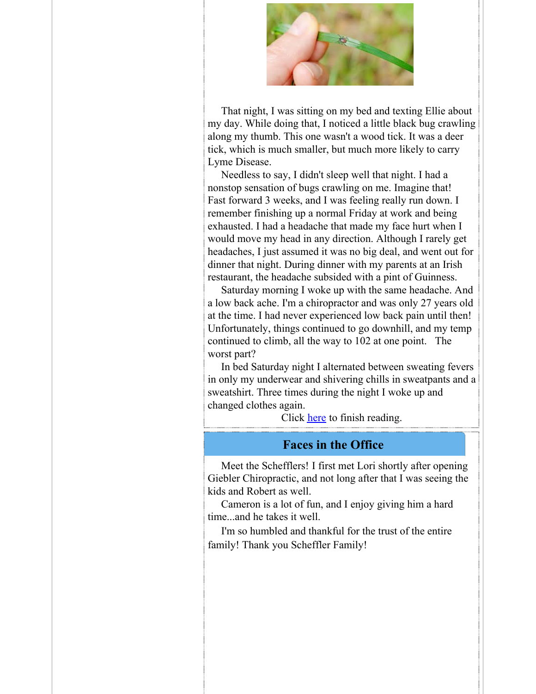

That night, I was sitting on my bed and texting Ellie about my day. While doing that, I noticed a little black bug crawling along my thumb. This one wasn't a wood tick. It was a deer tick, which is much smaller, but much more likely to carry Lyme Disease.

Needless to say, I didn't sleep well that night. I had a nonstop sensation of bugs crawling on me. Imagine that! Fast forward 3 weeks, and I was feeling really run down. I remember finishing up a normal Friday at work and being exhausted. I had a headache that made my face hurt when I would move my head in any direction. Although I rarely get headaches, I just assumed it was no big deal, and went out for dinner that night. During dinner with my parents at an Irish restaurant, the headache subsided with a pint of Guinness.

Saturday morning I woke up with the same headache. And a low back ache. I'm a chiropractor and was only 27 years old at the time. I had never experienced low back pain until then! Unfortunately, things continued to go downhill, and my temp continued to climb, all the way to 102 at one point. The worst part?

In bed Saturday night I alternated between sweating fevers in only my underwear and shivering chills in sweatpants and a sweatshirt. Three times during the night I woke up and changed clothes again.

Click [here](http://r20.rs6.net/tn.jsp?f=001AJWxanvSMp3wDh-n9S2h1EhmcVArYm6gX1U6InYSYVfQaZHfsIQS0imm_2iCZtDlL8RxGK9d8upfsIkBbONWiu8uNXz0Hq8Vker8RHaX0QDzOGUXHuQSogz4tAH9STRVS_1CzMYGynEojNgFnThuMQhCkzokIVo2C0bjeO2MHUTCzGHlyxSULHNbqatDEMBQfQkPoC2iZqvuLmHTVf_7O1ddoXV9-x4KAFql_cj0Q33mioH_eiFzZcZcAD8goO4j&c=&ch=) to finish reading.

#### **Faces in the Office**

Meet the Schefflers! I first met Lori shortly after opening Giebler Chiropractic, and not long after that I was seeing the kids and Robert as well.

Cameron is a lot of fun, and I enjoy giving him a hard time...and he takes it well.

I'm so humbled and thankful for the trust of the entire family! Thank you Scheffler Family!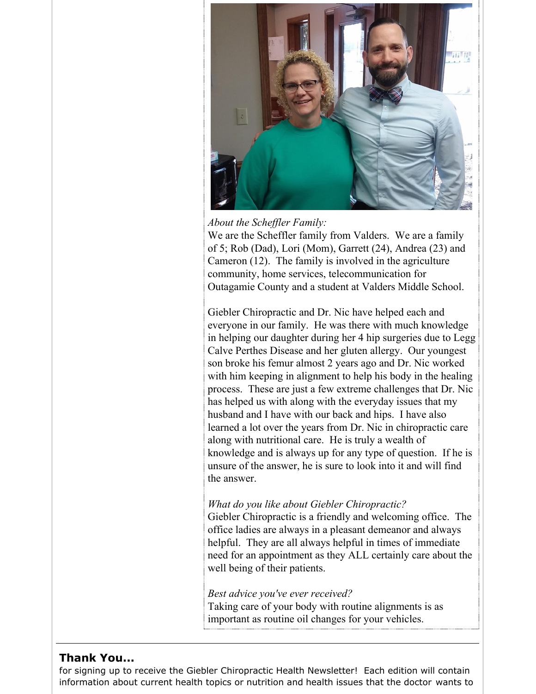

*About the Scheffler Family:* 

We are the Scheffler family from Valders. We are a family of 5; Rob (Dad), Lori (Mom), Garrett (24), Andrea (23) and Cameron (12). The family is involved in the agriculture community, home services, telecommunication for Outagamie County and a student at Valders Middle School.

Giebler Chiropractic and Dr. Nic have helped each and everyone in our family. He was there with much knowledge in helping our daughter during her 4 hip surgeries due to Legg Calve Perthes Disease and her gluten allergy. Our youngest son broke his femur almost 2 years ago and Dr. Nic worked with him keeping in alignment to help his body in the healing process. These are just a few extreme challenges that Dr. Nic has helped us with along with the everyday issues that my husband and I have with our back and hips. I have also learned a lot over the years from Dr. Nic in chiropractic care along with nutritional care. He is truly a wealth of knowledge and is always up for any type of question. If he is unsure of the answer, he is sure to look into it and will find the answer.

#### *What do you like about Giebler Chiropractic?*

Giebler Chiropractic is a friendly and welcoming office. The office ladies are always in a pleasant demeanor and always helpful. They are all always helpful in times of immediate need for an appointment as they ALL certainly care about the well being of their patients.

*Best advice you've ever received?*

Taking care of your body with routine alignments is as important as routine oil changes for your vehicles.

#### **Thank You...**

for signing up to receive the Giebler Chiropractic Health Newsletter! Each edition will contain information about current health topics or nutrition and health issues that the doctor wants to